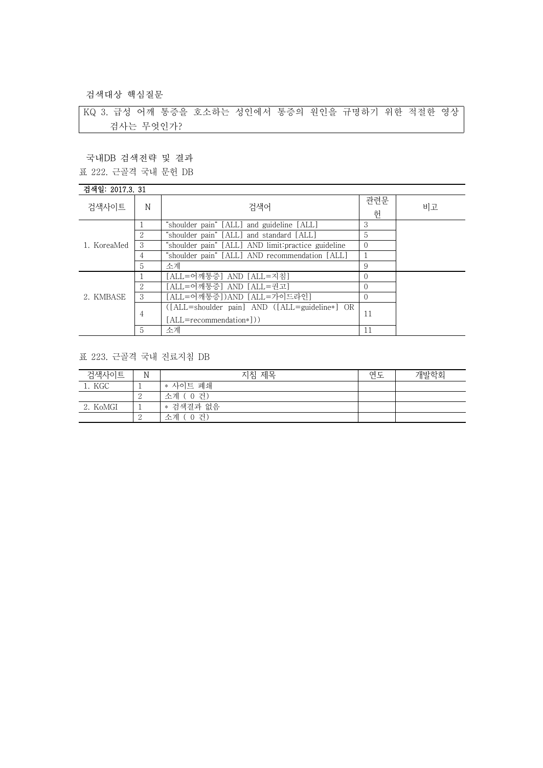검색대상 핵심질문

KQ 3. 급성 어깨 통증을 호소하는 성인에서 통증의 원인을 규명하기 위한 적절한 영상 검사는 무엇인가?

국내DB 검색전략 및 결과 표 222. 근골격 국내 문헌 DB

## 검색일: 2017.3. 31

| 검색사이트       | N                           | 검색어                                                | 관련문<br>허 | 비고 |
|-------------|-----------------------------|----------------------------------------------------|----------|----|
|             |                             | "shoulder pain" [ALL] and guideline [ALL]          | 3        |    |
|             |                             | "shoulder pain" [ALL] and standard [ALL]           | 5        |    |
| 1. KoreaMed | 3                           | "shoulder pain" [ALL] AND limit:practice guideline |          |    |
|             | 4                           | "shoulder pain" [ALL] AND recommendation [ALL]     |          |    |
|             | 5                           | 소계                                                 | 9        |    |
|             |                             | [ALL=어깨통증] AND [ALL=지침]                            |          |    |
|             | $\mathcal{D}_{\mathcal{L}}$ | [ALL=어깨통증] AND [ALL=권고]                            |          |    |
| 2. KMBASE   | 3                           | [ALL=어깨통증])AND [ALL=가이드라인]                         |          |    |
|             |                             | ([ALL=shoulder pain] AND ([ALL=guideline*] OR      |          |    |
|             | 4                           | [ALL=recommendation*]))                            | 11       |    |
|             | 5                           | 소계                                                 | 11       |    |

## 표 223. 근골격 국내 진료지침 DB

| 검색사이트    | N | 지침 제목        | 연도 | 개발학회 |
|----------|---|--------------|----|------|
| 1. KGC   |   | * 사이트 폐쇄     |    |      |
|          | ↵ | 소계 (0건)      |    |      |
| 2. KoMGI |   | * 검색결과 없음    |    |      |
|          | ∼ | 소계 (<br>(0건) |    |      |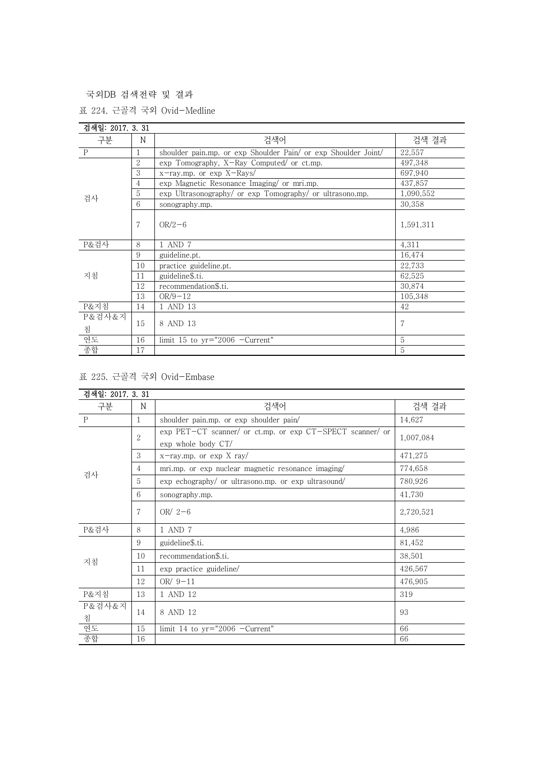국외DB 검색전략 및 결과

표 224. 근골격 국외 Ovid-Medline

| 검색일: 2017, 3, 31 |                                                                     |                                                          |                |  |  |
|------------------|---------------------------------------------------------------------|----------------------------------------------------------|----------------|--|--|
| 구분               | N                                                                   | 검색어                                                      | 검색 결과          |  |  |
| $\mathbf P$      | shoulder pain.mp. or exp Shoulder Pain/ or exp Shoulder Joint/<br>1 |                                                          | 22,557         |  |  |
| 검사               | $\overline{2}$                                                      | exp Tomography, X-Ray Computed/ or ct.mp.                | 497,348        |  |  |
|                  | 3                                                                   | x-ray.mp. or exp X-Rays/                                 | 697,940        |  |  |
|                  | 4                                                                   | exp Magnetic Resonance Imaging/ or mri.mp.               | 437,857        |  |  |
|                  | 5                                                                   | exp Ultrasonography/ or exp Tomography/ or ultrasono.mp. | 1,090,552      |  |  |
|                  | 6                                                                   | sonography.mp.                                           | 30,358         |  |  |
|                  | $\overline{7}$                                                      | $OR/2-6$                                                 | 1,591,311      |  |  |
| P&검사             | 8                                                                   | 1 AND 7                                                  | 4,311          |  |  |
|                  | 9                                                                   | guideline.pt.                                            | 16,474         |  |  |
| 지침               | 10                                                                  | practice guideline.pt.                                   | 22,733         |  |  |
|                  | 11                                                                  | guideline\$.ti.                                          | 62,525         |  |  |
|                  | 12                                                                  | recommendation\$.ti.                                     | 30,874         |  |  |
|                  | 13                                                                  | $OR/9 - 12$                                              | 105,348        |  |  |
| P&지침             | 14                                                                  | 1 AND 13                                                 | 42             |  |  |
| P&검사&지           |                                                                     |                                                          |                |  |  |
| 침                | 15                                                                  | 8 AND 13                                                 | $\overline{7}$ |  |  |
| 연도               | 16                                                                  | limit 15 to $yr="2006$ -Current"                         | 5              |  |  |
| 종합               | 17                                                                  |                                                          | 5              |  |  |

## 표 225. 근골격 국외 Ovid-Embase

| 검색일: 2017. 3. 31 |                |                                                                                 |           |
|------------------|----------------|---------------------------------------------------------------------------------|-----------|
| 구분               | N              | 검색어                                                                             | 검색 결과     |
| $\mathbf{P}$     | 1              | shoulder pain.mp. or exp shoulder pain/                                         | 14,627    |
| 검사               | $\overline{2}$ | exp PET-CT scanner/ or ct.mp. or exp CT-SPECT scanner/ or<br>exp whole body CT/ | 1,007,084 |
|                  | 3              | $x$ -ray.mp. or $exp X ray/$                                                    | 471,275   |
|                  | 4              | mri.mp. or exp nuclear magnetic resonance imaging                               | 774,658   |
|                  | 5              | exp echography/ or ultrasono.mp. or exp ultrasound/                             | 780,926   |
|                  | 6              | sonography.mp.                                                                  | 41,730    |
|                  | 7              | OR/ $2-6$                                                                       | 2,720,521 |
| P&검사             | 8              | 1 AND 7                                                                         | 4,986     |
| 지침               | 9              | guideline\$.ti.                                                                 | 81,452    |
|                  | 10             | recommendation\$.ti.                                                            | 38,501    |
|                  | 11             | exp practice guideline/                                                         | 426,567   |
|                  | 12             | OR $/9-11$                                                                      | 476,905   |
| P&지침             | 13             | 1 AND 12                                                                        | 319       |
| P&검사&지<br>침      | 14             | 8 AND 12                                                                        | 93        |
| 연도               | 15             | limit 14 to $yr="2006$ -Current"                                                | 66        |
| 종합               | 16             |                                                                                 | 66        |